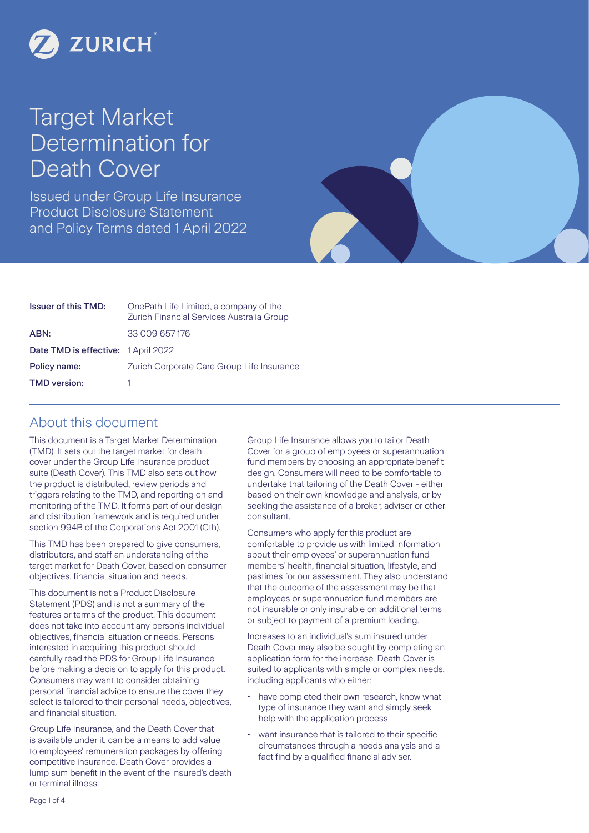

# Target Market Determination for Death Cover

Issued under Group Life Insurance Product Disclosure Statement and Policy Terms dated 1 April 2022



| <b>Issuer of this TMD:</b>          | OnePath Life Limited, a company of the<br>Zurich Financial Services Australia Group |
|-------------------------------------|-------------------------------------------------------------------------------------|
| ABN:                                | 33 009 657 176                                                                      |
| Date TMD is effective: 1 April 2022 |                                                                                     |
| Policy name:                        | Zurich Corporate Care Group Life Insurance                                          |
| <b>TMD</b> version:                 |                                                                                     |

### About this document

This document is a Target Market Determination (TMD). It sets out the target market for death cover under the Group Life Insurance product suite (Death Cover). This TMD also sets out how the product is distributed, review periods and triggers relating to the TMD, and reporting on and monitoring of the TMD. It forms part of our design and distribution framework and is required under section 994B of the Corporations Act 2001 (Cth).

This TMD has been prepared to give consumers, distributors, and staff an understanding of the target market for Death Cover, based on consumer objectives, financial situation and needs.

This document is not a Product Disclosure Statement (PDS) and is not a summary of the features or terms of the product. This document does not take into account any person's individual objectives, financial situation or needs. Persons interested in acquiring this product should carefully read the PDS for Group Life Insurance before making a decision to apply for this product. Consumers may want to consider obtaining personal financial advice to ensure the cover they select is tailored to their personal needs, objectives, and financial situation.

Group Life Insurance, and the Death Cover that is available under it, can be a means to add value to employees' remuneration packages by offering competitive insurance. Death Cover provides a lump sum benefit in the event of the insured's death or terminal illness.

Group Life Insurance allows you to tailor Death Cover for a group of employees or superannuation fund members by choosing an appropriate benefit design. Consumers will need to be comfortable to undertake that tailoring of the Death Cover - either based on their own knowledge and analysis, or by seeking the assistance of a broker, adviser or other consultant.

Consumers who apply for this product are comfortable to provide us with limited information about their employees' or superannuation fund members' health, financial situation, lifestyle, and pastimes for our assessment. They also understand that the outcome of the assessment may be that employees or superannuation fund members are not insurable or only insurable on additional terms or subject to payment of a premium loading.

Increases to an individual's sum insured under Death Cover may also be sought by completing an application form for the increase. Death Cover is suited to applicants with simple or complex needs, including applicants who either:

- have completed their own research, know what type of insurance they want and simply seek help with the application process
- want insurance that is tailored to their specific circumstances through a needs analysis and a fact find by a qualified financial adviser.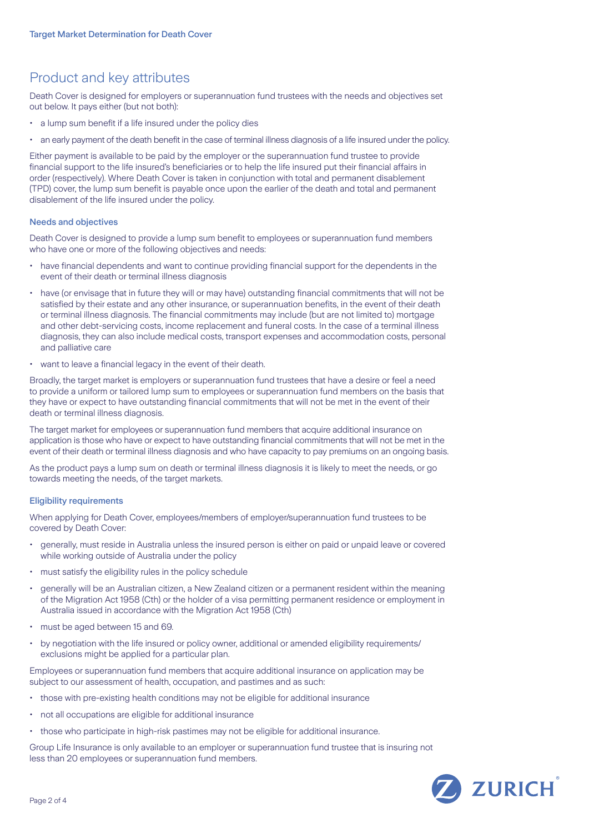# Product and key attributes

Death Cover is designed for employers or superannuation fund trustees with the needs and objectives set out below. It pays either (but not both):

- a lump sum benefit if a life insured under the policy dies
- an early payment of the death benefit in the case of terminal illness diagnosis of a life insured under the policy.

Either payment is available to be paid by the employer or the superannuation fund trustee to provide financial support to the life insured's beneficiaries or to help the life insured put their financial affairs in order (respectively). Where Death Cover is taken in conjunction with total and permanent disablement (TPD) cover, the lump sum benefit is payable once upon the earlier of the death and total and permanent disablement of the life insured under the policy.

### Needs and objectives

Death Cover is designed to provide a lump sum benefit to employees or superannuation fund members who have one or more of the following objectives and needs:

- have financial dependents and want to continue providing financial support for the dependents in the event of their death or terminal illness diagnosis
- have (or envisage that in future they will or may have) outstanding financial commitments that will not be satisfied by their estate and any other insurance, or superannuation benefits, in the event of their death or terminal illness diagnosis. The financial commitments may include (but are not limited to) mortgage and other debt-servicing costs, income replacement and funeral costs. In the case of a terminal illness diagnosis, they can also include medical costs, transport expenses and accommodation costs, personal and palliative care
- want to leave a financial legacy in the event of their death.

Broadly, the target market is employers or superannuation fund trustees that have a desire or feel a need to provide a uniform or tailored lump sum to employees or superannuation fund members on the basis that they have or expect to have outstanding financial commitments that will not be met in the event of their death or terminal illness diagnosis.

The target market for employees or superannuation fund members that acquire additional insurance on application is those who have or expect to have outstanding financial commitments that will not be met in the event of their death or terminal illness diagnosis and who have capacity to pay premiums on an ongoing basis.

As the product pays a lump sum on death or terminal illness diagnosis it is likely to meet the needs, or go towards meeting the needs, of the target markets.

### Eligibility requirements

When applying for Death Cover, employees/members of employer/superannuation fund trustees to be covered by Death Cover:

- generally, must reside in Australia unless the insured person is either on paid or unpaid leave or covered while working outside of Australia under the policy
- must satisfy the eligibility rules in the policy schedule
- generally will be an Australian citizen, a New Zealand citizen or a permanent resident within the meaning of the Migration Act 1958 (Cth) or the holder of a visa permitting permanent residence or employment in Australia issued in accordance with the Migration Act 1958 (Cth)
- must be aged between 15 and 69.
- by negotiation with the life insured or policy owner, additional or amended eligibility requirements/ exclusions might be applied for a particular plan.

Employees or superannuation fund members that acquire additional insurance on application may be subject to our assessment of health, occupation, and pastimes and as such:

- those with pre-existing health conditions may not be eligible for additional insurance
- not all occupations are eligible for additional insurance
- those who participate in high-risk pastimes may not be eligible for additional insurance.

Group Life Insurance is only available to an employer or superannuation fund trustee that is insuring not less than 20 employees or superannuation fund members.

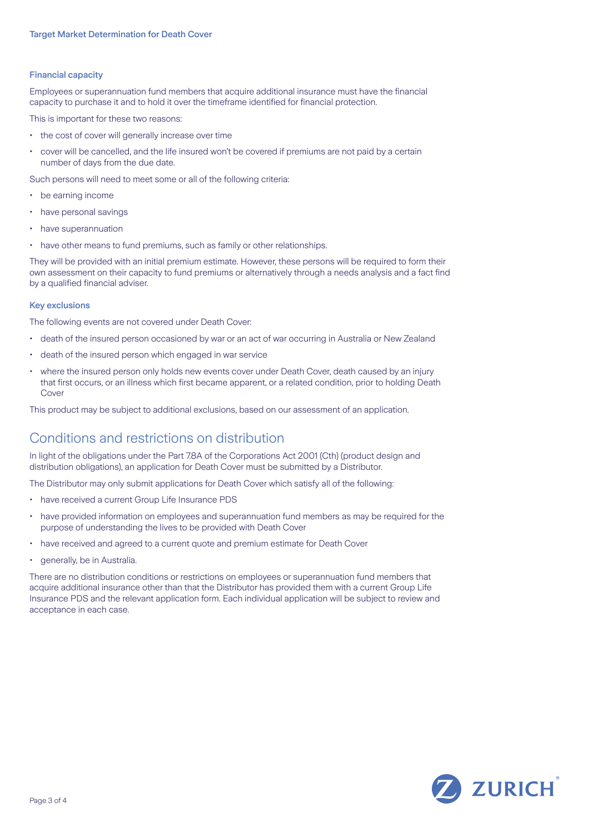### Financial capacity

Employees or superannuation fund members that acquire additional insurance must have the financial capacity to purchase it and to hold it over the timeframe identified for financial protection.

This is important for these two reasons:

- the cost of cover will generally increase over time
- cover will be cancelled, and the life insured won't be covered if premiums are not paid by a certain number of days from the due date.

Such persons will need to meet some or all of the following criteria:

- be earning income
- have personal savings
- have superannuation
- have other means to fund premiums, such as family or other relationships.

They will be provided with an initial premium estimate. However, these persons will be required to form their own assessment on their capacity to fund premiums or alternatively through a needs analysis and a fact find by a qualified financial adviser.

### Key exclusions

The following events are not covered under Death Cover:

- death of the insured person occasioned by war or an act of war occurring in Australia or New Zealand
- death of the insured person which engaged in war service
- where the insured person only holds new events cover under Death Cover, death caused by an injury that first occurs, or an illness which first became apparent, or a related condition, prior to holding Death Cover

This product may be subject to additional exclusions, based on our assessment of an application.

### Conditions and restrictions on distribution

In light of the obligations under the Part 7.8A of the Corporations Act 2001 (Cth) (product design and distribution obligations), an application for Death Cover must be submitted by a Distributor.

The Distributor may only submit applications for Death Cover which satisfy all of the following:

- have received a current Group Life Insurance PDS
- have provided information on employees and superannuation fund members as may be required for the purpose of understanding the lives to be provided with Death Cover
- have received and agreed to a current quote and premium estimate for Death Cover
- generally, be in Australia.

There are no distribution conditions or restrictions on employees or superannuation fund members that acquire additional insurance other than that the Distributor has provided them with a current Group Life Insurance PDS and the relevant application form. Each individual application will be subject to review and acceptance in each case.